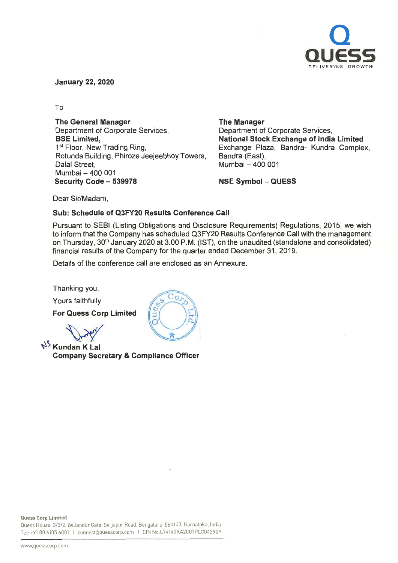

January 22, 2020

To

The General Manager Department of Corporate Services, BSE Limited, 1<sup>st</sup> Floor, New Trading Ring, Rotunda Building, Phiroze Jeejeebhoy Towers, Dalal Street, Mumbai - 400 001 Security Code - 539978

The Manager

Department of Corporate Services National Stock Exchange of India Limited Exchange Plaza, Sandra- Kundra Complex, Bandra (East). Mumbai - 400 001

NSE Symbol - QUESS

Dear Sir/Madam,

## Sub: Schedule of Q3FY20 Results Conference Call

Pursuant to SEBI (Listing Obligations and Disclosure Requirements) Regulations, 2015, we wish to inform that the Company has scheduled Q3FY20 Results Conference Call with the management on Thursday, 30<sup>th</sup> January 2020 at 3.00 P.M. (IST), on the unaudited (standalone and consolidated) financial results of the Company for the quarter ended December 31, 2019.

Details of the conference call are enclosed as an Annexure.

Thanking you,

Yours faithfully

For Quess Corp Limited

?

Nº Kundan K Lal Company Secretary & Compliance Officer

Quess House, 3/3/2, Bellandur Gate, Sarjapur Road, Bengaluru-560103, Karnataka, India Tel: +91 <sup>80</sup> <sup>6105</sup> <sup>6001</sup> <sup>I</sup> connect@quesscorp.com <sup>I</sup> CIN No.L74140KA2007PLC043909